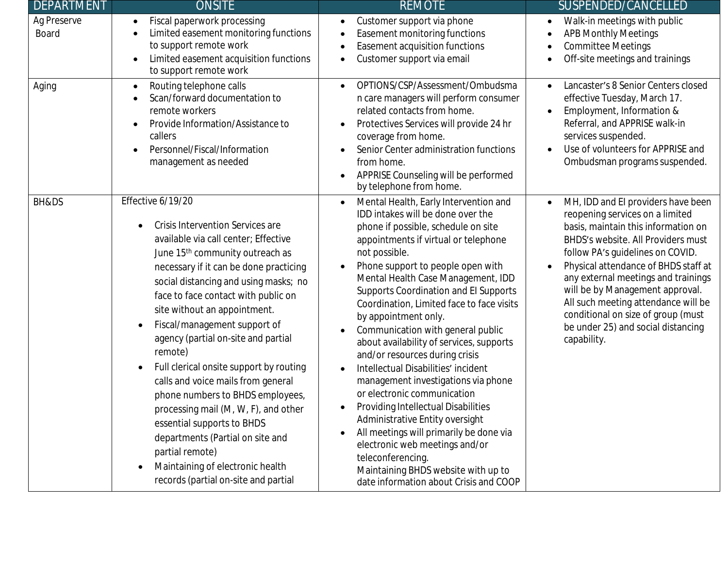| DEPARTMENT                  | <b>ONSITE</b>                                                                                                                                                                                                                                                                                                                                                                                                                                                                                                                                                                                                                                                                                                          | <b>REMOTE</b>                                                                                                                                                                                                                                                                                                                                                                                                                                                                                                                                                                                                                                                                                                                                                                                                                                                                 | SUSPENDED/CANCELLED                                                                                                                                                                                                                                                                                                                                                                                                                                                  |
|-----------------------------|------------------------------------------------------------------------------------------------------------------------------------------------------------------------------------------------------------------------------------------------------------------------------------------------------------------------------------------------------------------------------------------------------------------------------------------------------------------------------------------------------------------------------------------------------------------------------------------------------------------------------------------------------------------------------------------------------------------------|-------------------------------------------------------------------------------------------------------------------------------------------------------------------------------------------------------------------------------------------------------------------------------------------------------------------------------------------------------------------------------------------------------------------------------------------------------------------------------------------------------------------------------------------------------------------------------------------------------------------------------------------------------------------------------------------------------------------------------------------------------------------------------------------------------------------------------------------------------------------------------|----------------------------------------------------------------------------------------------------------------------------------------------------------------------------------------------------------------------------------------------------------------------------------------------------------------------------------------------------------------------------------------------------------------------------------------------------------------------|
| Ag Preserve<br><b>Board</b> | Fiscal paperwork processing<br>Limited easement monitoring functions<br>to support remote work<br>Limited easement acquisition functions<br>to support remote work                                                                                                                                                                                                                                                                                                                                                                                                                                                                                                                                                     | Customer support via phone<br>Easement monitoring functions<br>Easement acquisition functions<br>Customer support via email                                                                                                                                                                                                                                                                                                                                                                                                                                                                                                                                                                                                                                                                                                                                                   | Walk-in meetings with public<br>$\bullet$<br><b>APB Monthly Meetings</b><br>$\bullet$<br><b>Committee Meetings</b><br>$\bullet$<br>Off-site meetings and trainings                                                                                                                                                                                                                                                                                                   |
| Aging                       | Routing telephone calls<br>$\bullet$<br>Scan/forward documentation to<br>remote workers<br>Provide Information/Assistance to<br>$\bullet$<br>callers<br>Personnel/Fiscal/Information<br>management as needed                                                                                                                                                                                                                                                                                                                                                                                                                                                                                                           | OPTIONS/CSP/Assessment/Ombudsma<br>n care managers will perform consumer<br>related contacts from home.<br>Protectives Services will provide 24 hr<br>coverage from home.<br>Senior Center administration functions<br>from home.<br>APPRISE Counseling will be performed<br>by telephone from home.                                                                                                                                                                                                                                                                                                                                                                                                                                                                                                                                                                          | Lancaster's 8 Senior Centers closed<br>$\bullet$<br>effective Tuesday, March 17.<br>Employment, Information &<br>$\bullet$<br>Referral, and APPRISE walk-in<br>services suspended.<br>Use of volunteers for APPRISE and<br>$\bullet$<br>Ombudsman programs suspended.                                                                                                                                                                                                |
| BH&DS                       | Effective 6/19/20<br>Crisis Intervention Services are<br>available via call center; Effective<br>June 15 <sup>th</sup> community outreach as<br>necessary if it can be done practicing<br>social distancing and using masks; no<br>face to face contact with public on<br>site without an appointment.<br>Fiscal/management support of<br>agency (partial on-site and partial<br>remote)<br>Full clerical onsite support by routing<br>calls and voice mails from general<br>phone numbers to BHDS employees,<br>processing mail (M, W, F), and other<br>essential supports to BHDS<br>departments (Partial on site and<br>partial remote)<br>Maintaining of electronic health<br>records (partial on-site and partial | Mental Health, Early Intervention and<br>IDD intakes will be done over the<br>phone if possible, schedule on site<br>appointments if virtual or telephone<br>not possible.<br>Phone support to people open with<br>$\bullet$<br>Mental Health Case Management, IDD<br>Supports Coordination and El Supports<br>Coordination, Limited face to face visits<br>by appointment only.<br>Communication with general public<br>about availability of services, supports<br>and/or resources during crisis<br>Intellectual Disabilities' incident<br>management investigations via phone<br>or electronic communication<br>Providing Intellectual Disabilities<br>Administrative Entity oversight<br>All meetings will primarily be done via<br>electronic web meetings and/or<br>teleconferencing.<br>Maintaining BHDS website with up to<br>date information about Crisis and COOP | MH, IDD and EI providers have been<br>$\bullet$<br>reopening services on a limited<br>basis, maintain this information on<br>BHDS's website. All Providers must<br>follow PA's guidelines on COVID.<br>Physical attendance of BHDS staff at<br>$\bullet$<br>any external meetings and trainings<br>will be by Management approval.<br>All such meeting attendance will be<br>conditional on size of group (must<br>be under 25) and social distancing<br>capability. |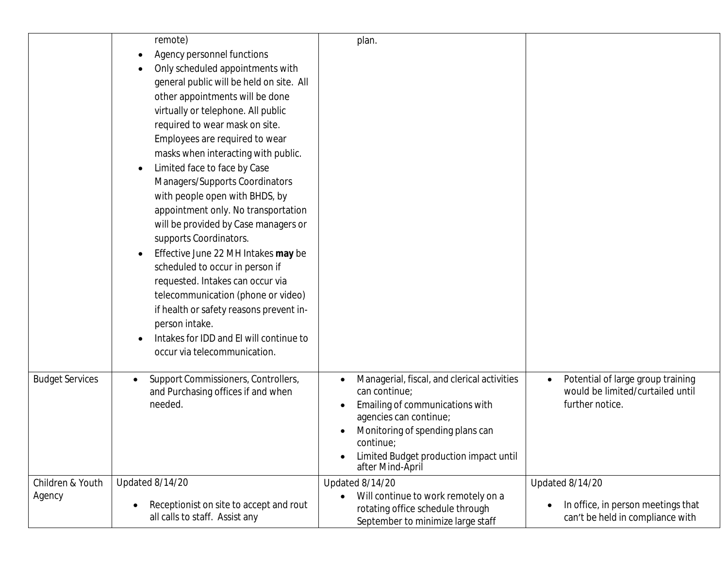|                        | remote)<br>Agency personnel functions<br>Only scheduled appointments with<br>general public will be held on site. All<br>other appointments will be done<br>virtually or telephone. All public<br>required to wear mask on site.<br>Employees are required to wear<br>masks when interacting with public.<br>Limited face to face by Case<br>Managers/Supports Coordinators<br>with people open with BHDS, by<br>appointment only. No transportation<br>will be provided by Case managers or<br>supports Coordinators.<br>Effective June 22 MH Intakes may be<br>scheduled to occur in person if<br>requested. Intakes can occur via<br>telecommunication (phone or video)<br>if health or safety reasons prevent in-<br>person intake.<br>Intakes for IDD and EI will continue to<br>occur via telecommunication. | plan.                                                                                                                                                                                                                                    |                                                                                                       |
|------------------------|--------------------------------------------------------------------------------------------------------------------------------------------------------------------------------------------------------------------------------------------------------------------------------------------------------------------------------------------------------------------------------------------------------------------------------------------------------------------------------------------------------------------------------------------------------------------------------------------------------------------------------------------------------------------------------------------------------------------------------------------------------------------------------------------------------------------|------------------------------------------------------------------------------------------------------------------------------------------------------------------------------------------------------------------------------------------|-------------------------------------------------------------------------------------------------------|
| <b>Budget Services</b> | Support Commissioners, Controllers,<br>and Purchasing offices if and when<br>needed.                                                                                                                                                                                                                                                                                                                                                                                                                                                                                                                                                                                                                                                                                                                               | Managerial, fiscal, and clerical activities<br>can continue;<br>Emailing of communications with<br>agencies can continue;<br>Monitoring of spending plans can<br>continue;<br>Limited Budget production impact until<br>after Mind-April | Potential of large group training<br>$\bullet$<br>would be limited/curtailed until<br>further notice. |
| Children & Youth       | Updated 8/14/20                                                                                                                                                                                                                                                                                                                                                                                                                                                                                                                                                                                                                                                                                                                                                                                                    | Updated 8/14/20                                                                                                                                                                                                                          | Updated 8/14/20                                                                                       |
| Agency                 |                                                                                                                                                                                                                                                                                                                                                                                                                                                                                                                                                                                                                                                                                                                                                                                                                    | Will continue to work remotely on a<br>$\bullet$                                                                                                                                                                                         |                                                                                                       |
|                        | Receptionist on site to accept and rout<br>all calls to staff. Assist any                                                                                                                                                                                                                                                                                                                                                                                                                                                                                                                                                                                                                                                                                                                                          | rotating office schedule through<br>September to minimize large staff                                                                                                                                                                    | In office, in person meetings that<br>can't be held in compliance with                                |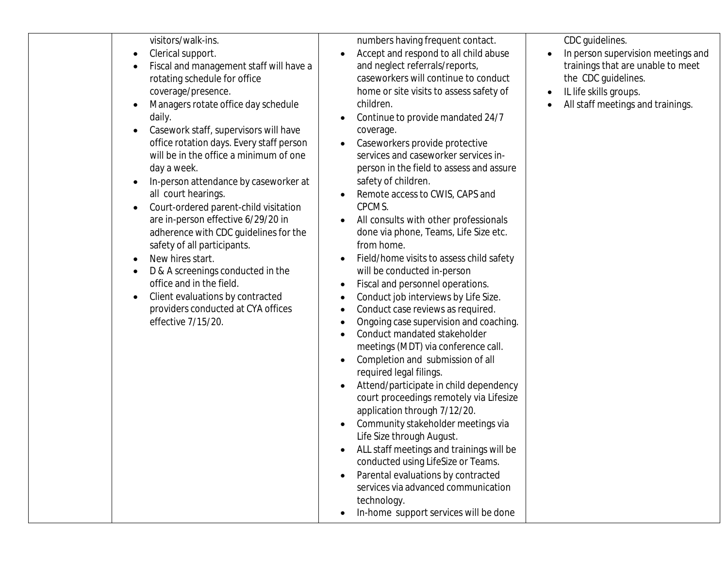visitors/walk-ins.

- Clerical support.
- Fiscal and management staff will have a rotating schedule for office coverage/presence.
- Managers rotate office day schedule daily.
- Casework staff, supervisors will have office rotation days. Every staff person will be in the office a minimum of one day a week.
- In-person attendance by caseworker at all court hearings.
- Court-ordered parent-child visitation are in-person effective 6/29/20 in adherence with CDC guidelines for the safety of all participants.
- New hires start.
- D & A screenings conducted in the office and in the field.
- Client evaluations by contracted providers conducted at CYA offices effective 7/15/20.

numbers having frequent contact.

- Accept and respond to all child abuse and neglect referrals/reports, caseworkers will continue to conduct home or site visits to assess safety of children.
- Continue to provide mandated 24/7 coverage.
- Caseworkers provide protective services and caseworker services inperson in the field to assess and assure safety of children.
- Remote access to CWIS, CAPS and CPCMS.
- All consults with other professionals done via phone, Teams, Life Size etc. from home.
- Field/home visits to assess child safety will be conducted in-person
- Fiscal and personnel operations.
- Conduct job interviews by Life Size.
- Conduct case reviews as required.
- Ongoing case supervision and coaching.
- Conduct mandated stakeholder meetings (MDT) via conference call.
- Completion and submission of all required legal filings.
- Attend/participate in child dependency court proceedings remotely via Lifesize application through 7/12/20.
- Community stakeholder meetings via Life Size through August.
- ALL staff meetings and trainings will be conducted using LifeSize or Teams.
- Parental evaluations by contracted services via advanced communication technology.
- In-home support services will be done

CDC guidelines.

- In person supervision meetings and trainings that are unable to meet the CDC guidelines.
- IL life skills groups.
- All staff meetings and trainings.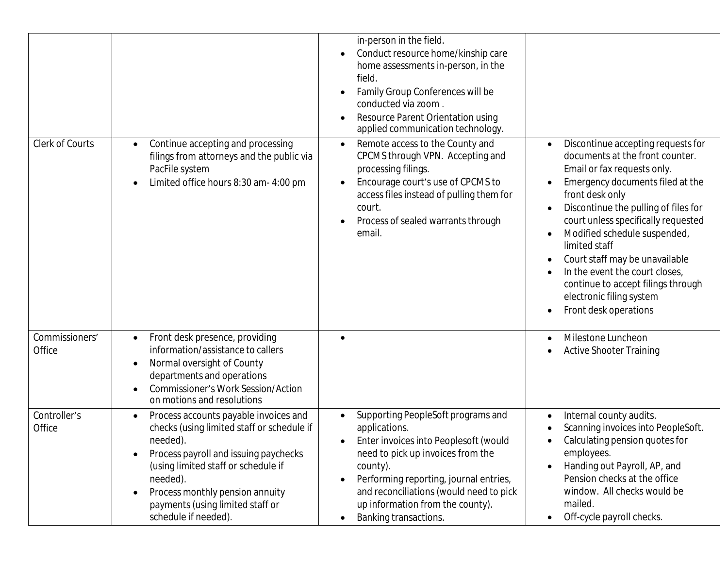| Clerk of Courts          | Continue accepting and processing<br>filings from attorneys and the public via<br>PacFile system<br>Limited office hours 8:30 am- 4:00 pm                                                                                                                                                                            | in-person in the field.<br>Conduct resource home/kinship care<br>home assessments in-person, in the<br>field.<br>Family Group Conferences will be<br>conducted via zoom.<br>Resource Parent Orientation using<br>$\bullet$<br>applied communication technology.<br>Remote access to the County and<br>$\bullet$<br>CPCMS through VPN. Accepting and<br>processing filings.<br>Encourage court's use of CPCMS to<br>$\bullet$<br>access files instead of pulling them for<br>court.<br>Process of sealed warrants through<br>email. | Discontinue accepting requests for<br>documents at the front counter.<br>Email or fax requests only.<br>Emergency documents filed at the<br>front desk only<br>Discontinue the pulling of files for<br>court unless specifically requested<br>Modified schedule suspended,<br>limited staff<br>Court staff may be unavailable<br>In the event the court closes,<br>continue to accept filings through<br>electronic filing system<br>Front desk operations |
|--------------------------|----------------------------------------------------------------------------------------------------------------------------------------------------------------------------------------------------------------------------------------------------------------------------------------------------------------------|------------------------------------------------------------------------------------------------------------------------------------------------------------------------------------------------------------------------------------------------------------------------------------------------------------------------------------------------------------------------------------------------------------------------------------------------------------------------------------------------------------------------------------|------------------------------------------------------------------------------------------------------------------------------------------------------------------------------------------------------------------------------------------------------------------------------------------------------------------------------------------------------------------------------------------------------------------------------------------------------------|
| Commissioners'<br>Office | Front desk presence, providing<br>information/assistance to callers<br>Normal oversight of County<br>-<br>departments and operations<br><b>Commissioner's Work Session/Action</b><br>on motions and resolutions                                                                                                      | $\bullet$                                                                                                                                                                                                                                                                                                                                                                                                                                                                                                                          | Milestone Luncheon<br><b>Active Shooter Training</b>                                                                                                                                                                                                                                                                                                                                                                                                       |
| Controller's<br>Office   | Process accounts payable invoices and<br>$\bullet$<br>checks (using limited staff or schedule if<br>needed).<br>Process payroll and issuing paychecks<br>(using limited staff or schedule if<br>needed).<br>Process monthly pension annuity<br>$\bullet$<br>payments (using limited staff or<br>schedule if needed). | Supporting PeopleSoft programs and<br>$\bullet$<br>applications.<br>Enter invoices into Peoplesoft (would<br>$\bullet$<br>need to pick up invoices from the<br>county).<br>Performing reporting, journal entries,<br>and reconciliations (would need to pick<br>up information from the county).<br>Banking transactions.                                                                                                                                                                                                          | Internal county audits.<br>Scanning invoices into PeopleSoft.<br>Calculating pension quotes for<br>employees.<br>Handing out Payroll, AP, and<br>Pension checks at the office<br>window. All checks would be<br>mailed.<br>Off-cycle payroll checks.                                                                                                                                                                                                       |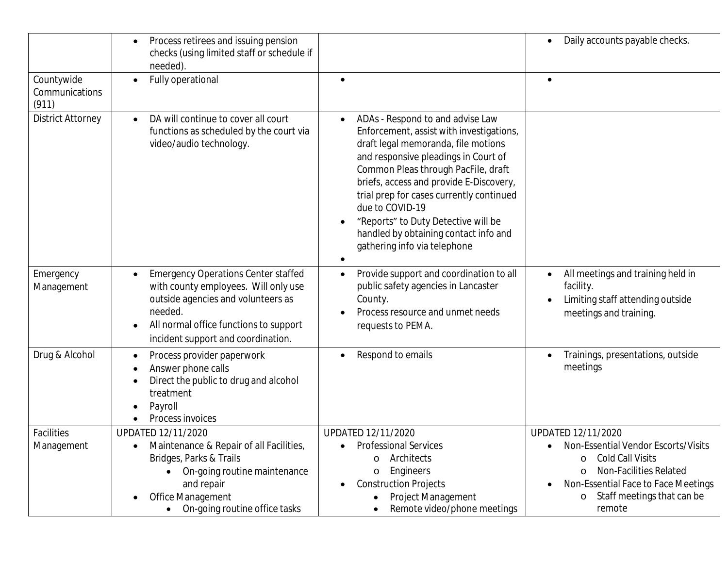|                                       | Process retirees and issuing pension<br>checks (using limited staff or schedule if<br>needed).                                                                                                                      |                                                                                                                                                                                                                                                                                                                                                                                                                              | Daily accounts payable checks.                                                                                                                                                                                                 |
|---------------------------------------|---------------------------------------------------------------------------------------------------------------------------------------------------------------------------------------------------------------------|------------------------------------------------------------------------------------------------------------------------------------------------------------------------------------------------------------------------------------------------------------------------------------------------------------------------------------------------------------------------------------------------------------------------------|--------------------------------------------------------------------------------------------------------------------------------------------------------------------------------------------------------------------------------|
| Countywide<br>Communications<br>(911) | Fully operational                                                                                                                                                                                                   |                                                                                                                                                                                                                                                                                                                                                                                                                              |                                                                                                                                                                                                                                |
| <b>District Attorney</b>              | DA will continue to cover all court<br>functions as scheduled by the court via<br>video/audio technology.                                                                                                           | ADAs - Respond to and advise Law<br>Enforcement, assist with investigations,<br>draft legal memoranda, file motions<br>and responsive pleadings in Court of<br>Common Pleas through PacFile, draft<br>briefs, access and provide E-Discovery,<br>trial prep for cases currently continued<br>due to COVID-19<br>"Reports" to Duty Detective will be<br>handled by obtaining contact info and<br>gathering info via telephone |                                                                                                                                                                                                                                |
| Emergency<br>Management               | <b>Emergency Operations Center staffed</b><br>with county employees. Will only use<br>outside agencies and volunteers as<br>needed.<br>All normal office functions to support<br>incident support and coordination. | Provide support and coordination to all<br>public safety agencies in Lancaster<br>County.<br>Process resource and unmet needs<br>requests to PEMA.                                                                                                                                                                                                                                                                           | All meetings and training held in<br>facility.<br>Limiting staff attending outside<br>meetings and training.                                                                                                                   |
| Drug & Alcohol                        | Process provider paperwork<br>Answer phone calls<br>Direct the public to drug and alcohol<br>treatment<br>Payroll<br>Process invoices                                                                               | Respond to emails                                                                                                                                                                                                                                                                                                                                                                                                            | Trainings, presentations, outside<br>meetings                                                                                                                                                                                  |
| Facilities<br>Management              | UPDATED 12/11/2020<br>Maintenance & Repair of all Facilities,<br>Bridges, Parks & Trails<br>On-going routine maintenance<br>and repair<br>Office Management<br>$\bullet$<br>On-going routine office tasks           | UPDATED 12/11/2020<br><b>Professional Services</b><br>Architects<br>$\circ$<br>Engineers<br>$\circ$<br><b>Construction Projects</b><br>Project Management<br>Remote video/phone meetings                                                                                                                                                                                                                                     | UPDATED 12/11/2020<br>Non-Essential Vendor Escorts/Visits<br><b>Cold Call Visits</b><br>$\circ$<br>Non-Facilities Related<br>$\circ$<br>Non-Essential Face to Face Meetings<br>Staff meetings that can be<br>$\circ$<br>remote |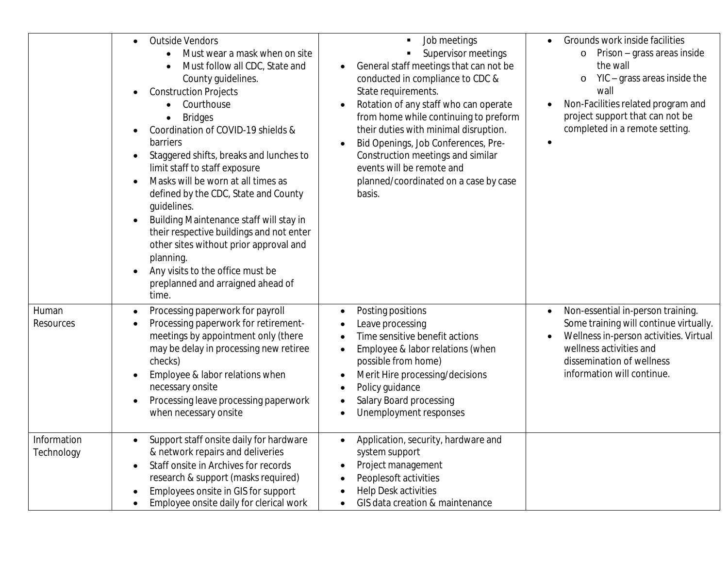|                           | <b>Outside Vendors</b><br>$\bullet$<br>Must wear a mask when on site<br>Must follow all CDC, State and<br>County guidelines.<br><b>Construction Projects</b><br>$\bullet$<br>Courthouse<br><b>Bridges</b><br>Coordination of COVID-19 shields &<br>barriers<br>Staggered shifts, breaks and lunches to<br>$\bullet$<br>limit staff to staff exposure<br>Masks will be worn at all times as<br>$\bullet$<br>defined by the CDC, State and County<br>guidelines.<br>Building Maintenance staff will stay in<br>$\bullet$<br>their respective buildings and not enter<br>other sites without prior approval and<br>planning.<br>Any visits to the office must be<br>preplanned and arraigned ahead of<br>time. | Job meetings<br>Supervisor meetings<br>General staff meetings that can not be<br>conducted in compliance to CDC &<br>State requirements.<br>Rotation of any staff who can operate<br>from home while continuing to preform<br>their duties with minimal disruption.<br>Bid Openings, Job Conferences, Pre-<br>Construction meetings and similar<br>events will be remote and<br>planned/coordinated on a case by case<br>basis. | Grounds work inside facilities<br>Prison - grass areas inside<br>$\circ$<br>the wall<br>YIC – grass areas inside the<br>O<br>wall<br>Non-Facilities related program and<br>project support that can not be<br>completed in a remote setting. |
|---------------------------|-------------------------------------------------------------------------------------------------------------------------------------------------------------------------------------------------------------------------------------------------------------------------------------------------------------------------------------------------------------------------------------------------------------------------------------------------------------------------------------------------------------------------------------------------------------------------------------------------------------------------------------------------------------------------------------------------------------|---------------------------------------------------------------------------------------------------------------------------------------------------------------------------------------------------------------------------------------------------------------------------------------------------------------------------------------------------------------------------------------------------------------------------------|----------------------------------------------------------------------------------------------------------------------------------------------------------------------------------------------------------------------------------------------|
| Human<br>Resources        | Processing paperwork for payroll<br>$\bullet$<br>Processing paperwork for retirement-<br>$\bullet$<br>meetings by appointment only (there<br>may be delay in processing new retiree<br>checks)<br>Employee & labor relations when<br>necessary onsite<br>Processing leave processing paperwork<br>$\bullet$<br>when necessary onsite                                                                                                                                                                                                                                                                                                                                                                        | Posting positions<br>Leave processing<br>Time sensitive benefit actions<br>Employee & labor relations (when<br>possible from home)<br>Merit Hire processing/decisions<br>Policy guidance<br>Salary Board processing<br>Unemployment responses                                                                                                                                                                                   | Non-essential in-person training.<br>$\bullet$<br>Some training will continue virtually.<br>Wellness in-person activities. Virtual<br>wellness activities and<br>dissemination of wellness<br>information will continue.                     |
| Information<br>Technology | Support staff onsite daily for hardware<br>& network repairs and deliveries<br>Staff onsite in Archives for records<br>$\bullet$<br>research & support (masks required)<br>Employees onsite in GIS for support<br>Employee onsite daily for clerical work                                                                                                                                                                                                                                                                                                                                                                                                                                                   | Application, security, hardware and<br>system support<br>Project management<br>Peoplesoft activities<br>Help Desk activities<br>GIS data creation & maintenance                                                                                                                                                                                                                                                                 |                                                                                                                                                                                                                                              |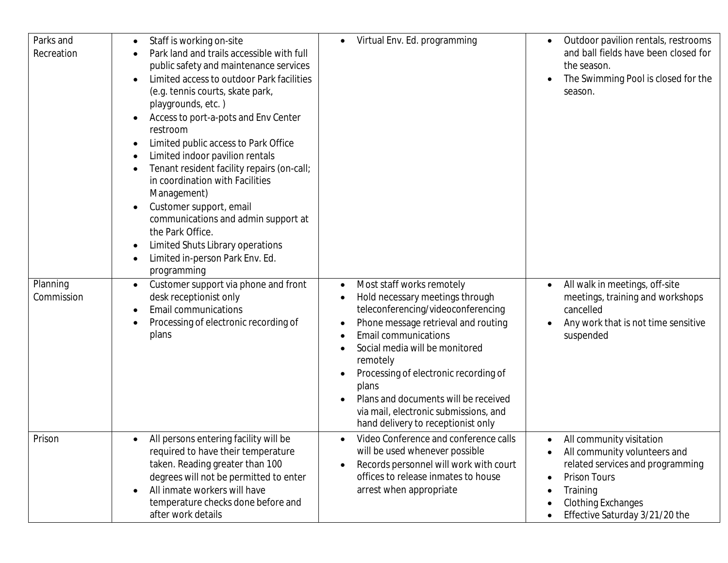| Parks and<br>Recreation | Staff is working on-site<br>Park land and trails accessible with full<br>public safety and maintenance services<br>Limited access to outdoor Park facilities<br>(e.g. tennis courts, skate park,<br>playgrounds, etc.)<br>Access to port-a-pots and Env Center<br>٠<br>restroom<br>Limited public access to Park Office<br>Limited indoor pavilion rentals<br>٠<br>Tenant resident facility repairs (on-call;<br>in coordination with Facilities<br>Management)<br>Customer support, email<br>communications and admin support at<br>the Park Office.<br>Limited Shuts Library operations<br>٠<br>Limited in-person Park Env. Ed.<br>programming | Virtual Env. Ed. programming<br>$\bullet$                                                                                                                                                                                                                                                                                                                                                                    | Outdoor pavilion rentals, restrooms<br>$\bullet$<br>and ball fields have been closed for<br>the season.<br>The Swimming Pool is closed for the<br>٠<br>season.                                                                                                       |
|-------------------------|--------------------------------------------------------------------------------------------------------------------------------------------------------------------------------------------------------------------------------------------------------------------------------------------------------------------------------------------------------------------------------------------------------------------------------------------------------------------------------------------------------------------------------------------------------------------------------------------------------------------------------------------------|--------------------------------------------------------------------------------------------------------------------------------------------------------------------------------------------------------------------------------------------------------------------------------------------------------------------------------------------------------------------------------------------------------------|----------------------------------------------------------------------------------------------------------------------------------------------------------------------------------------------------------------------------------------------------------------------|
| Planning<br>Commission  | Customer support via phone and front<br>$\bullet$<br>desk receptionist only<br><b>Email communications</b><br>Processing of electronic recording of<br>plans                                                                                                                                                                                                                                                                                                                                                                                                                                                                                     | Most staff works remotely<br>$\bullet$<br>Hold necessary meetings through<br>teleconferencing/videoconferencing<br>Phone message retrieval and routing<br><b>Email communications</b><br>Social media will be monitored<br>remotely<br>Processing of electronic recording of<br>plans<br>Plans and documents will be received<br>via mail, electronic submissions, and<br>hand delivery to receptionist only | All walk in meetings, off-site<br>$\bullet$<br>meetings, training and workshops<br>cancelled<br>Any work that is not time sensitive<br>suspended                                                                                                                     |
| Prison                  | All persons entering facility will be<br>required to have their temperature<br>taken. Reading greater than 100<br>degrees will not be permitted to enter<br>All inmate workers will have<br>temperature checks done before and<br>after work details                                                                                                                                                                                                                                                                                                                                                                                             | Video Conference and conference calls<br>$\bullet$<br>will be used whenever possible<br>Records personnel will work with court<br>offices to release inmates to house<br>arrest when appropriate                                                                                                                                                                                                             | All community visitation<br>$\bullet$<br>All community volunteers and<br>$\bullet$<br>related services and programming<br><b>Prison Tours</b><br>$\bullet$<br>Training<br>$\bullet$<br><b>Clothing Exchanges</b><br>٠<br>Effective Saturday 3/21/20 the<br>$\bullet$ |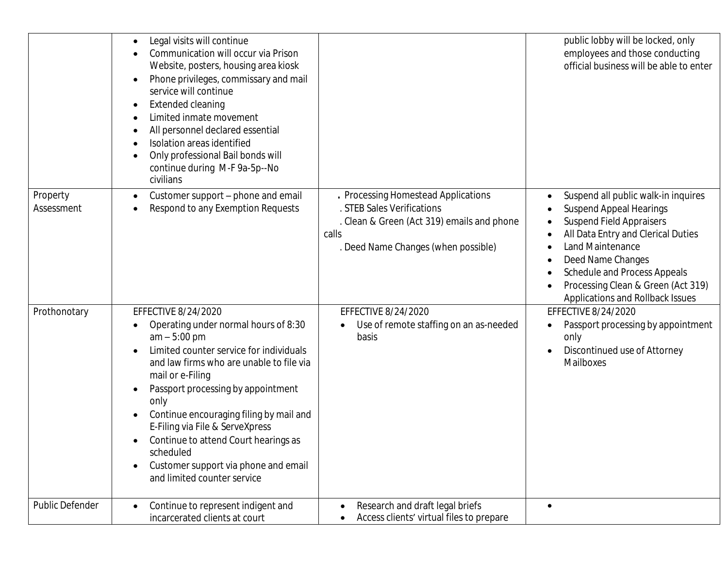|                        | Legal visits will continue<br>Communication will occur via Prison<br>Website, posters, housing area kiosk<br>Phone privileges, commissary and mail<br>٠<br>service will continue<br>Extended cleaning<br>Limited inmate movement<br>All personnel declared essential<br>Isolation areas identified<br>Only professional Bail bonds will<br>continue during M-F 9a-5p--No<br>civilians                                                                         |                                                                                                                                                                 | public lobby will be locked, only<br>employees and those conducting<br>official business will be able to enter                                                                                                                                                                                    |
|------------------------|---------------------------------------------------------------------------------------------------------------------------------------------------------------------------------------------------------------------------------------------------------------------------------------------------------------------------------------------------------------------------------------------------------------------------------------------------------------|-----------------------------------------------------------------------------------------------------------------------------------------------------------------|---------------------------------------------------------------------------------------------------------------------------------------------------------------------------------------------------------------------------------------------------------------------------------------------------|
| Property<br>Assessment | Customer support - phone and email<br>Respond to any Exemption Requests                                                                                                                                                                                                                                                                                                                                                                                       | . Processing Homestead Applications<br>. STEB Sales Verifications<br>. Clean & Green (Act 319) emails and phone<br>calls<br>. Deed Name Changes (when possible) | Suspend all public walk-in inquires<br><b>Suspend Appeal Hearings</b><br><b>Suspend Field Appraisers</b><br>All Data Entry and Clerical Duties<br>Land Maintenance<br>Deed Name Changes<br>Schedule and Process Appeals<br>Processing Clean & Green (Act 319)<br>Applications and Rollback Issues |
| Prothonotary           | EFFECTIVE 8/24/2020<br>Operating under normal hours of 8:30<br>$am - 5:00 pm$<br>Limited counter service for individuals<br>and law firms who are unable to file via<br>mail or e-Filing<br>Passport processing by appointment<br>only<br>Continue encouraging filing by mail and<br>E-Filing via File & ServeXpress<br>Continue to attend Court hearings as<br>scheduled<br>Customer support via phone and email<br>$\bullet$<br>and limited counter service | EFFECTIVE 8/24/2020<br>Use of remote staffing on an as-needed<br>basis                                                                                          | EFFECTIVE 8/24/2020<br>Passport processing by appointment<br>only<br>Discontinued use of Attorney<br>Mailboxes                                                                                                                                                                                    |
| Public Defender        | Continue to represent indigent and<br>incarcerated clients at court                                                                                                                                                                                                                                                                                                                                                                                           | Research and draft legal briefs<br>Access clients' virtual files to prepare                                                                                     | $\bullet$                                                                                                                                                                                                                                                                                         |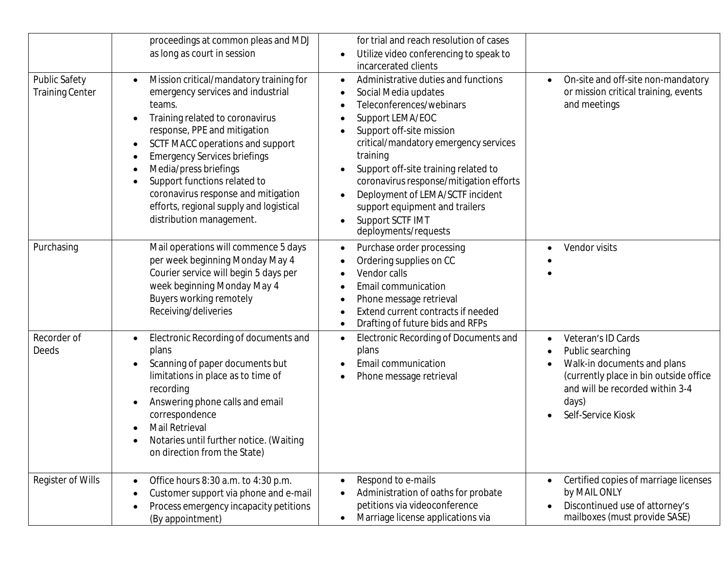| Public Safety<br><b>Training Center</b> | proceedings at common pleas and MDJ<br>as long as court in session<br>Mission critical/mandatory training for<br>emergency services and industrial<br>teams.<br>Training related to coronavirus<br>response, PPE and mitigation<br>SCTF MACC operations and support<br><b>Emergency Services briefings</b><br>Media/press briefings<br>Support functions related to<br>coronavirus response and mitigation | for trial and reach resolution of cases<br>Utilize video conferencing to speak to<br>incarcerated clients<br>Administrative duties and functions<br>$\bullet$<br>Social Media updates<br>Teleconferences/webinars<br>Support LEMA/EOC<br>Support off-site mission<br>critical/mandatory emergency services<br>training<br>Support off-site training related to<br>coronavirus response/mitigation efforts<br>Deployment of LEMA/SCTF incident | On-site and off-site non-mandatory<br>$\bullet$<br>or mission critical training, events<br>and meetings                                                                                                                  |
|-----------------------------------------|------------------------------------------------------------------------------------------------------------------------------------------------------------------------------------------------------------------------------------------------------------------------------------------------------------------------------------------------------------------------------------------------------------|-----------------------------------------------------------------------------------------------------------------------------------------------------------------------------------------------------------------------------------------------------------------------------------------------------------------------------------------------------------------------------------------------------------------------------------------------|--------------------------------------------------------------------------------------------------------------------------------------------------------------------------------------------------------------------------|
| Purchasing                              | efforts, regional supply and logistical<br>distribution management.<br>Mail operations will commence 5 days<br>per week beginning Monday May 4<br>Courier service will begin 5 days per<br>week beginning Monday May 4<br>Buyers working remotely<br>Receiving/deliveries                                                                                                                                  | support equipment and trailers<br>Support SCTF IMT<br>deployments/requests<br>Purchase order processing<br>$\bullet$<br>Ordering supplies on CC<br>Vendor calls<br>Email communication<br>Phone message retrieval<br>Extend current contracts if needed                                                                                                                                                                                       | Vendor visits<br>$\bullet$                                                                                                                                                                                               |
| Recorder of<br>Deeds                    | Electronic Recording of documents and<br>$\bullet$<br>plans<br>Scanning of paper documents but<br>limitations in place as to time of<br>recording<br>Answering phone calls and email<br>correspondence<br>Mail Retrieval<br>Notaries until further notice. (Waiting<br>on direction from the State)                                                                                                        | Drafting of future bids and RFPs<br>Electronic Recording of Documents and<br>$\bullet$<br>plans<br>Email communication<br>Phone message retrieval                                                                                                                                                                                                                                                                                             | Veteran's ID Cards<br>$\bullet$<br>Public searching<br>$\bullet$<br>Walk-in documents and plans<br>$\bullet$<br>(currently place in bin outside office<br>and will be recorded within 3-4<br>days)<br>Self-Service Kiosk |
| Register of Wills                       | Office hours 8:30 a.m. to 4:30 p.m.<br>Customer support via phone and e-mail<br>Process emergency incapacity petitions<br>(By appointment)                                                                                                                                                                                                                                                                 | Respond to e-mails<br>$\bullet$<br>Administration of oaths for probate<br>petitions via videoconference<br>Marriage license applications via                                                                                                                                                                                                                                                                                                  | Certified copies of marriage licenses<br>$\bullet$<br>by MAIL ONLY<br>Discontinued use of attorney's<br>$\bullet$<br>mailboxes (must provide SASE)                                                                       |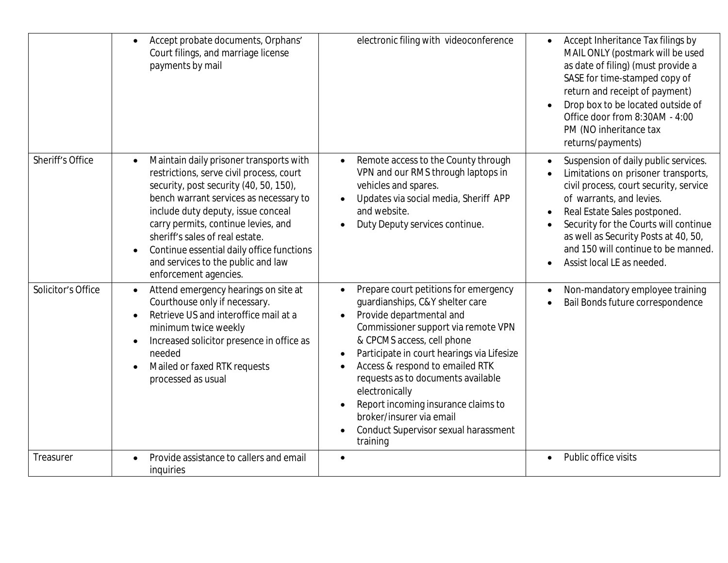|                    | Accept probate documents, Orphans'<br>Court filings, and marriage license<br>payments by mail                                                                                                                                                                                                                                                                                                       | electronic filing with videoconference                                                                                                                                                                                                                                                                                                                                                                                                                              | Accept Inheritance Tax filings by<br>MAIL ONLY (postmark will be used<br>as date of filing) (must provide a<br>SASE for time-stamped copy of<br>return and receipt of payment)<br>Drop box to be located outside of<br>Office door from 8:30AM - 4:00<br>PM (NO inheritance tax<br>returns/payments)                                                                           |
|--------------------|-----------------------------------------------------------------------------------------------------------------------------------------------------------------------------------------------------------------------------------------------------------------------------------------------------------------------------------------------------------------------------------------------------|---------------------------------------------------------------------------------------------------------------------------------------------------------------------------------------------------------------------------------------------------------------------------------------------------------------------------------------------------------------------------------------------------------------------------------------------------------------------|--------------------------------------------------------------------------------------------------------------------------------------------------------------------------------------------------------------------------------------------------------------------------------------------------------------------------------------------------------------------------------|
| Sheriff's Office   | Maintain daily prisoner transports with<br>restrictions, serve civil process, court<br>security, post security (40, 50, 150),<br>bench warrant services as necessary to<br>include duty deputy, issue conceal<br>carry permits, continue levies, and<br>sheriff's sales of real estate.<br>Continue essential daily office functions<br>and services to the public and law<br>enforcement agencies. | Remote access to the County through<br>$\bullet$<br>VPN and our RMS through laptops in<br>vehicles and spares.<br>Updates via social media, Sheriff APP<br>and website.<br>Duty Deputy services continue.<br>$\bullet$                                                                                                                                                                                                                                              | Suspension of daily public services.<br>$\bullet$<br>Limitations on prisoner transports,<br>$\bullet$<br>civil process, court security, service<br>of warrants, and levies.<br>Real Estate Sales postponed.<br>$\bullet$<br>Security for the Courts will continue<br>as well as Security Posts at 40, 50,<br>and 150 will continue to be manned.<br>Assist local LE as needed. |
| Solicitor's Office | Attend emergency hearings on site at<br>$\bullet$<br>Courthouse only if necessary.<br>Retrieve US and interoffice mail at a<br>minimum twice weekly<br>Increased solicitor presence in office as<br>$\bullet$<br>needed<br>Mailed or faxed RTK requests<br>$\bullet$<br>processed as usual                                                                                                          | Prepare court petitions for emergency<br>$\bullet$<br>guardianships, C&Y shelter care<br>Provide departmental and<br>$\bullet$<br>Commissioner support via remote VPN<br>& CPCMS access, cell phone<br>Participate in court hearings via Lifesize<br>Access & respond to emailed RTK<br>requests as to documents available<br>electronically<br>Report incoming insurance claims to<br>broker/insurer via email<br>Conduct Supervisor sexual harassment<br>training | Non-mandatory employee training<br>Bail Bonds future correspondence                                                                                                                                                                                                                                                                                                            |
| Treasurer          | Provide assistance to callers and email<br>inquiries                                                                                                                                                                                                                                                                                                                                                | $\bullet$                                                                                                                                                                                                                                                                                                                                                                                                                                                           | Public office visits<br>$\bullet$                                                                                                                                                                                                                                                                                                                                              |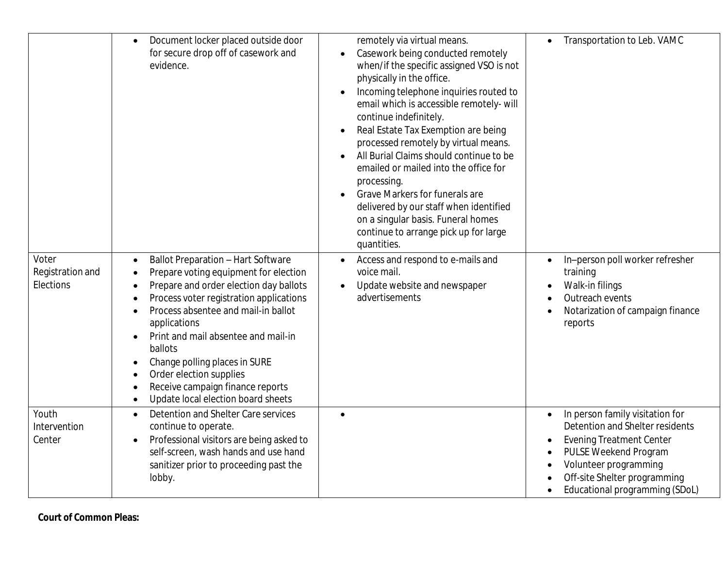|                                        | Document locker placed outside door<br>for secure drop off of casework and<br>evidence.                                                                                                                                                                                                                                                                                                                                                                                    | remotely via virtual means.<br>Casework being conducted remotely<br>$\bullet$<br>when/if the specific assigned VSO is not<br>physically in the office.<br>Incoming telephone inquiries routed to<br>email which is accessible remotely- will<br>continue indefinitely.<br>Real Estate Tax Exemption are being<br>processed remotely by virtual means.<br>All Burial Claims should continue to be<br>emailed or mailed into the office for<br>processing.<br>Grave Markers for funerals are<br>delivered by our staff when identified<br>on a singular basis. Funeral homes<br>continue to arrange pick up for large<br>quantities. | Transportation to Leb. VAMC                                                                                                                                                                                                                                      |
|----------------------------------------|----------------------------------------------------------------------------------------------------------------------------------------------------------------------------------------------------------------------------------------------------------------------------------------------------------------------------------------------------------------------------------------------------------------------------------------------------------------------------|------------------------------------------------------------------------------------------------------------------------------------------------------------------------------------------------------------------------------------------------------------------------------------------------------------------------------------------------------------------------------------------------------------------------------------------------------------------------------------------------------------------------------------------------------------------------------------------------------------------------------------|------------------------------------------------------------------------------------------------------------------------------------------------------------------------------------------------------------------------------------------------------------------|
| Voter<br>Registration and<br>Elections | <b>Ballot Preparation - Hart Software</b><br>$\bullet$<br>Prepare voting equipment for election<br>$\bullet$<br>Prepare and order election day ballots<br>Process voter registration applications<br>Process absentee and mail-in ballot<br>applications<br>Print and mail absentee and mail-in<br>$\bullet$<br>ballots<br>Change polling places in SURE<br>Order election supplies<br>Receive campaign finance reports<br>Update local election board sheets<br>$\bullet$ | Access and respond to e-mails and<br>$\bullet$<br>voice mail.<br>Update website and newspaper<br>$\bullet$<br>advertisements                                                                                                                                                                                                                                                                                                                                                                                                                                                                                                       | In-person poll worker refresher<br>training<br>Walk-in filings<br>Outreach events<br>Notarization of campaign finance<br>reports                                                                                                                                 |
| Youth<br>Intervention<br>Center        | Detention and Shelter Care services<br>continue to operate.<br>Professional visitors are being asked to<br>self-screen, wash hands and use hand<br>sanitizer prior to proceeding past the<br>lobby.                                                                                                                                                                                                                                                                        | $\bullet$                                                                                                                                                                                                                                                                                                                                                                                                                                                                                                                                                                                                                          | In person family visitation for<br>$\bullet$<br>Detention and Shelter residents<br><b>Evening Treatment Center</b><br>$\bullet$<br>PULSE Weekend Program<br>$\bullet$<br>Volunteer programming<br>Off-site Shelter programming<br>Educational programming (SDoL) |